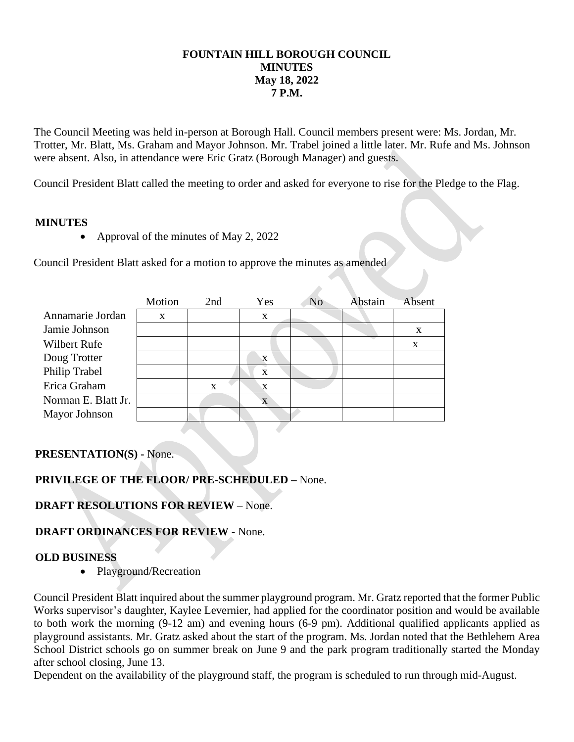## **FOUNTAIN HILL BOROUGH COUNCIL MINUTES May 18, 2022 7 P.M.**

The Council Meeting was held in-person at Borough Hall. Council members present were: Ms. Jordan, Mr. Trotter, Mr. Blatt, Ms. Graham and Mayor Johnson. Mr. Trabel joined a little later. Mr. Rufe and Ms. Johnson were absent. Also, in attendance were Eric Gratz (Borough Manager) and guests.

Council President Blatt called the meeting to order and asked for everyone to rise for the Pledge to the Flag.

## **MINUTES**

• Approval of the minutes of May 2, 2022

Council President Blatt asked for a motion to approve the minutes as amended

|                     | Motion | 2nd<br>Yes |              | N <sub>o</sub> | Abstain | Absent |
|---------------------|--------|------------|--------------|----------------|---------|--------|
| Annamarie Jordan    | X      |            | X            |                |         |        |
| Jamie Johnson       |        |            |              |                |         | X      |
| Wilbert Rufe        |        |            |              |                |         | X      |
| Doug Trotter        |        |            | $\bf{X}$     |                |         |        |
| Philip Trabel       |        |            | $\mathbf{x}$ |                |         |        |
| Erica Graham        |        | X          | X            |                |         |        |
| Norman E. Blatt Jr. |        |            | X            |                |         |        |
| Mayor Johnson       |        |            |              |                |         |        |

## **PRESENTATION(S) -** None.

# **PRIVILEGE OF THE FLOOR/ PRE-SCHEDULED –** None.

## **DRAFT RESOLUTIONS FOR REVIEW** – None.

## **DRAFT ORDINANCES FOR REVIEW -** None.

#### **OLD BUSINESS**

• Playground/Recreation

Council President Blatt inquired about the summer playground program. Mr. Gratz reported that the former Public Works supervisor's daughter, Kaylee Levernier, had applied for the coordinator position and would be available to both work the morning (9-12 am) and evening hours (6-9 pm). Additional qualified applicants applied as playground assistants. Mr. Gratz asked about the start of the program. Ms. Jordan noted that the Bethlehem Area School District schools go on summer break on June 9 and the park program traditionally started the Monday after school closing, June 13.

Dependent on the availability of the playground staff, the program is scheduled to run through mid-August.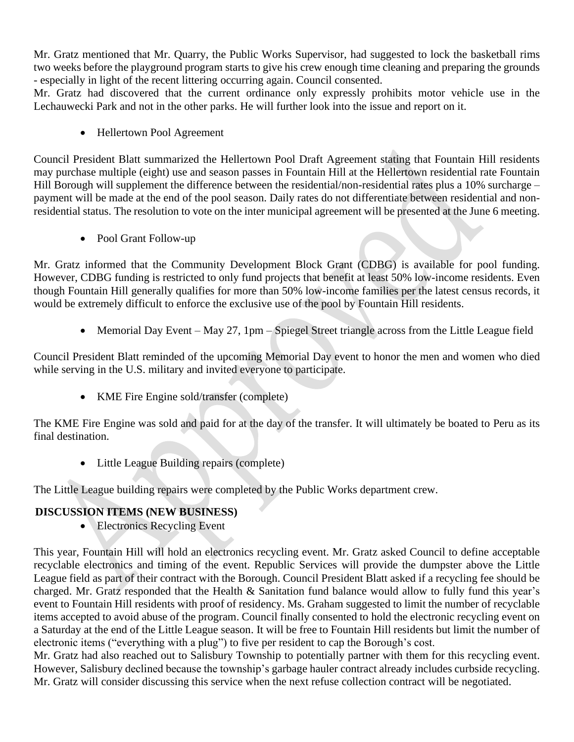Mr. Gratz mentioned that Mr. Quarry, the Public Works Supervisor, had suggested to lock the basketball rims two weeks before the playground program starts to give his crew enough time cleaning and preparing the grounds - especially in light of the recent littering occurring again. Council consented.

Mr. Gratz had discovered that the current ordinance only expressly prohibits motor vehicle use in the Lechauwecki Park and not in the other parks. He will further look into the issue and report on it.

• Hellertown Pool Agreement

Council President Blatt summarized the Hellertown Pool Draft Agreement stating that Fountain Hill residents may purchase multiple (eight) use and season passes in Fountain Hill at the Hellertown residential rate Fountain Hill Borough will supplement the difference between the residential/non-residential rates plus a 10% surcharge – payment will be made at the end of the pool season. Daily rates do not differentiate between residential and nonresidential status. The resolution to vote on the inter municipal agreement will be presented at the June 6 meeting.

• Pool Grant Follow-up

Mr. Gratz informed that the Community Development Block Grant (CDBG) is available for pool funding. However, CDBG funding is restricted to only fund projects that benefit at least 50% low-income residents. Even though Fountain Hill generally qualifies for more than 50% low-income families per the latest census records, it would be extremely difficult to enforce the exclusive use of the pool by Fountain Hill residents.

• Memorial Day Event – May 27, 1pm – Spiegel Street triangle across from the Little League field

Council President Blatt reminded of the upcoming Memorial Day event to honor the men and women who died while serving in the U.S. military and invited everyone to participate.

• KME Fire Engine sold/transfer (complete)

The KME Fire Engine was sold and paid for at the day of the transfer. It will ultimately be boated to Peru as its final destination.

• Little League Building repairs (complete)

The Little League building repairs were completed by the Public Works department crew.

# **DISCUSSION ITEMS (NEW BUSINESS)**

• Electronics Recycling Event

This year, Fountain Hill will hold an electronics recycling event. Mr. Gratz asked Council to define acceptable recyclable electronics and timing of the event. Republic Services will provide the dumpster above the Little League field as part of their contract with the Borough. Council President Blatt asked if a recycling fee should be charged. Mr. Gratz responded that the Health & Sanitation fund balance would allow to fully fund this year's event to Fountain Hill residents with proof of residency. Ms. Graham suggested to limit the number of recyclable items accepted to avoid abuse of the program. Council finally consented to hold the electronic recycling event on a Saturday at the end of the Little League season. It will be free to Fountain Hill residents but limit the number of electronic items ("everything with a plug") to five per resident to cap the Borough's cost.

Mr. Gratz had also reached out to Salisbury Township to potentially partner with them for this recycling event. However, Salisbury declined because the township's garbage hauler contract already includes curbside recycling. Mr. Gratz will consider discussing this service when the next refuse collection contract will be negotiated.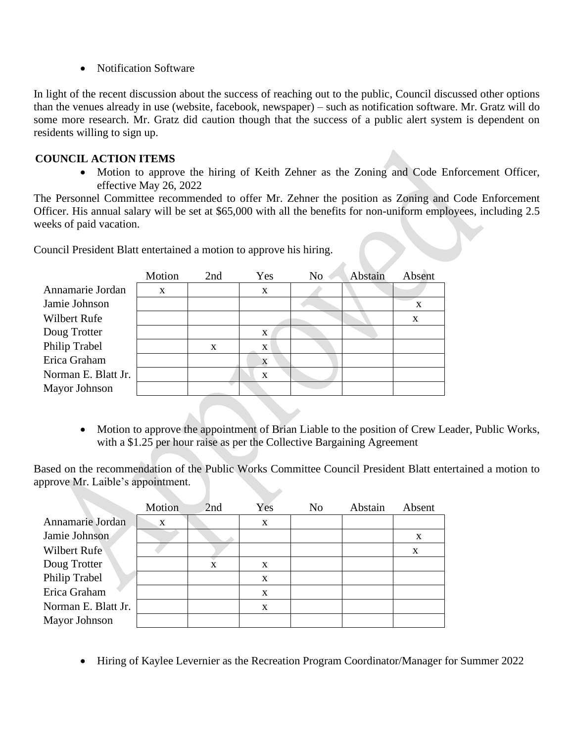• Notification Software

In light of the recent discussion about the success of reaching out to the public, Council discussed other options than the venues already in use (website, facebook, newspaper) – such as notification software. Mr. Gratz will do some more research. Mr. Gratz did caution though that the success of a public alert system is dependent on residents willing to sign up.

# **COUNCIL ACTION ITEMS**

• Motion to approve the hiring of Keith Zehner as the Zoning and Code Enforcement Officer, effective May 26, 2022

The Personnel Committee recommended to offer Mr. Zehner the position as Zoning and Code Enforcement Officer. His annual salary will be set at \$65,000 with all the benefits for non-uniform employees, including 2.5 weeks of paid vacation.

Council President Blatt entertained a motion to approve his hiring.

|                     | Motion | 2nd | Yes          | N <sub>0</sub> | Abstain | Absent |
|---------------------|--------|-----|--------------|----------------|---------|--------|
| Annamarie Jordan    | X      |     | X            |                |         |        |
| Jamie Johnson       |        |     |              |                |         | X      |
| Wilbert Rufe        |        |     |              |                |         | X      |
| Doug Trotter        |        |     | X            |                |         |        |
| Philip Trabel       |        | X   | $\mathbf{X}$ |                |         |        |
| Erica Graham        |        |     | X            |                |         |        |
| Norman E. Blatt Jr. |        |     | $\mathbf x$  |                |         |        |
| Mayor Johnson       |        |     |              |                |         |        |

• Motion to approve the appointment of Brian Liable to the position of Crew Leader, Public Works, with a \$1.25 per hour raise as per the Collective Bargaining Agreement

Based on the recommendation of the Public Works Committee Council President Blatt entertained a motion to approve Mr. Laible's appointment.

|                     | Motion       | 2nd | Yes | N <sub>o</sub> | Abstain | Absent |
|---------------------|--------------|-----|-----|----------------|---------|--------|
| Annamarie Jordan    | $\mathbf{x}$ |     | X   |                |         |        |
| Jamie Johnson       |              |     |     |                |         | X      |
| Wilbert Rufe        |              |     |     |                |         | X      |
| Doug Trotter        |              | X   | X   |                |         |        |
| Philip Trabel       |              |     | X   |                |         |        |
| Erica Graham        |              |     | X   |                |         |        |
| Norman E. Blatt Jr. |              |     | X   |                |         |        |
| Mayor Johnson       |              |     |     |                |         |        |

• Hiring of Kaylee Levernier as the Recreation Program Coordinator/Manager for Summer 2022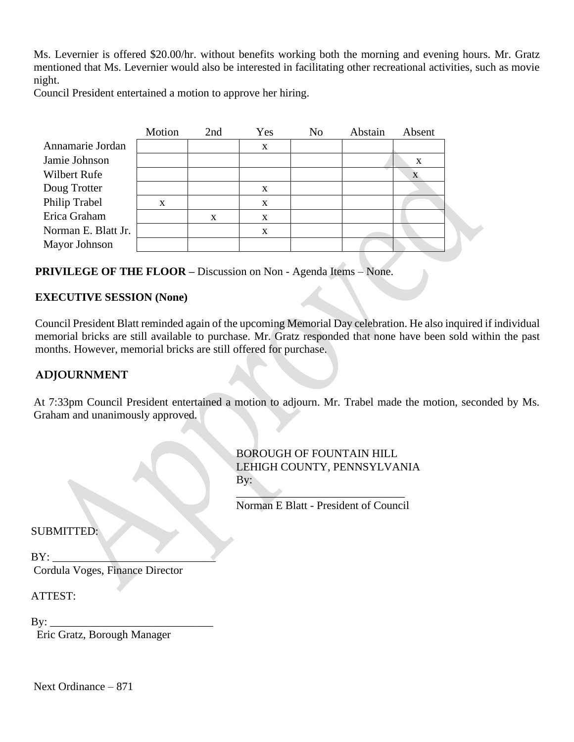Ms. Levernier is offered \$20.00/hr. without benefits working both the morning and evening hours. Mr. Gratz mentioned that Ms. Levernier would also be interested in facilitating other recreational activities, such as movie night.

Council President entertained a motion to approve her hiring.

|                     | Motion | 2nd | Yes | N <sub>o</sub> | Abstain | Absent |  |
|---------------------|--------|-----|-----|----------------|---------|--------|--|
| Annamarie Jordan    |        |     | X   |                |         |        |  |
| Jamie Johnson       |        |     |     |                |         | X      |  |
| Wilbert Rufe        |        |     |     |                |         |        |  |
| Doug Trotter        |        |     | X   |                |         |        |  |
| Philip Trabel       | X      |     | X   |                |         |        |  |
| Erica Graham        |        | X   | X   |                |         |        |  |
| Norman E. Blatt Jr. |        |     | X   |                |         |        |  |
| Mayor Johnson       |        |     |     |                |         |        |  |
|                     |        |     |     |                |         |        |  |

**PRIVILEGE OF THE FLOOR –** Discussion on Non - Agenda Items – None.

## **EXECUTIVE SESSION (None)**

Council President Blatt reminded again of the upcoming Memorial Day celebration. He also inquired if individual memorial bricks are still available to purchase. Mr. Gratz responded that none have been sold within the past months. However, memorial bricks are still offered for purchase.

# **ADJOURNMENT**

At 7:33pm Council President entertained a motion to adjourn. Mr. Trabel made the motion, seconded by Ms. Graham and unanimously approved.

> BOROUGH OF FOUNTAIN HILL LEHIGH COUNTY, PENNSYLVANIA  $\mathbf{B} \mathbf{v}$ :

 $\overline{\phantom{a}}$ Norman E Blatt - President of Council

SUBMITTED:

 $BY:$ Cordula Voges, Finance Director

ATTEST:

 $\operatorname{By:}$ 

Eric Gratz, Borough Manager

Next Ordinance – 871